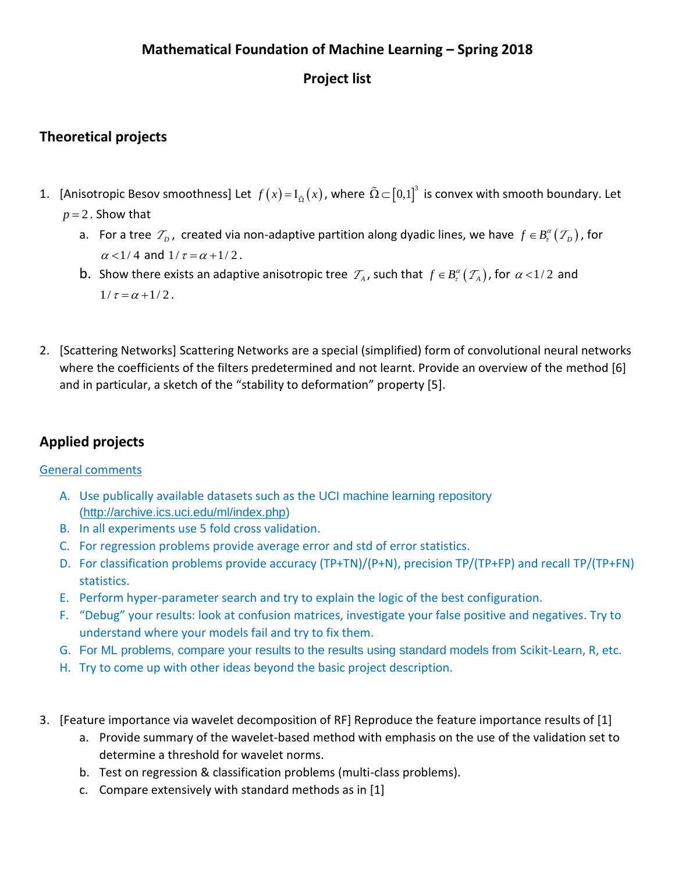## **Mathematical Foundation of Machine Learning – Spring 2018**

## **Project list**

## **Theoretical projects**

- 1. [Anisotropic Besov smoothness] Let  $f(x) = I_{\tilde{\Omega}}(x)$ , where  $\tilde{\Omega} \subset [0,1]^3$  is convex with smooth boundary. Let  $p = 2$ . Show that
	- a. For a tree  $\mathcal{T}_p$ , created via non-adaptive partition along dyadic lines, we have  $f \in B_r^{\alpha}(\mathcal{T}_p)$ , for  $\alpha$  < 1/4 and 1/ $\tau$  =  $\alpha$  + 1/2.
	- **b**. Show there exists an adaptive anisotropic tree  $\mathcal{T}_A$ , such that  $f \in B_r^{\alpha}(\mathcal{T}_A)$ , for  $\alpha$  < 1/2 and  $1/\tau = \alpha + 1/2$ .
- 2. [Scattering Networks] Scattering Networks are a special (simplified) form of convolutional neural networks where the coefficients of the filters predetermined and not learnt. Provide an overview of the method [6] and in particular, a sketch of the "stability to deformation" property [5].

# **Applied projects**

### General comments

- A. Use publically available datasets such as the UCI machine learning repository [\(http://archive.ics.uci.edu/ml/index.php\)](http://archive.ics.uci.edu/ml/index.php)
- B. In all experiments use 5 fold cross validation.
- C. For regression problems provide average error and std of error statistics.
- D. For classification problems provide accuracy (TP+TN)/(P+N), precision TP/(TP+FP) and recall TP/(TP+FN) statistics.
- E. Perform hyper-parameter search and try to explain the logic of the best configuration.
- F. "Debug" your results: look at confusion matrices, investigate your false positive and negatives. Try to understand where your models fail and try to fix them.
- G. For ML problems, compare your results to the results using standard models from Scikit-Learn, R, etc.
- H. Try to come up with other ideas beyond the basic project description.
- 3. [Feature importance via wavelet decomposition of RF] Reproduce the feature importance results of [1]
	- a. Provide summary of the wavelet-based method with emphasis on the use of the validation set to determine a threshold for wavelet norms.
	- b. Test on regression & classification problems (multi-class problems).
	- c. Compare extensively with standard methods as in [1]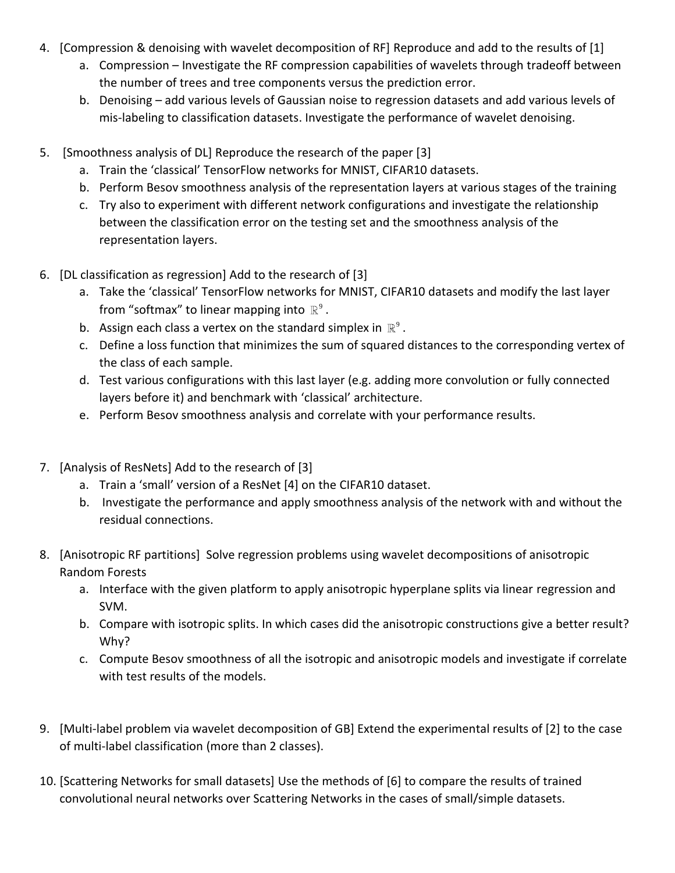- 4. [Compression & denoising with wavelet decomposition of RF] Reproduce and add to the results of [1]
	- a. Compression Investigate the RF compression capabilities of wavelets through tradeoff between the number of trees and tree components versus the prediction error.
	- b. Denoising add various levels of Gaussian noise to regression datasets and add various levels of mis-labeling to classification datasets. Investigate the performance of wavelet denoising.
- 5. [Smoothness analysis of DL] Reproduce the research of the paper [3]
	- a. Train the 'classical' TensorFlow networks for MNIST, CIFAR10 datasets.
	- b. Perform Besov smoothness analysis of the representation layers at various stages of the training
	- c. Try also to experiment with different network configurations and investigate the relationship between the classification error on the testing set and the smoothness analysis of the representation layers.
- 6. [DL classification as regression] Add to the research of [3]
	- a. Take the 'classical' TensorFlow networks for MNIST, CIFAR10 datasets and modify the last layer from "softmax" to linear mapping into  $\mathbb{R}^9$  .
	- b. Assign each class a vertex on the standard simplex in  $\mathbb{R}^9$ .
	- c. Define a loss function that minimizes the sum of squared distances to the corresponding vertex of the class of each sample.
	- d. Test various configurations with this last layer (e.g. adding more convolution or fully connected layers before it) and benchmark with 'classical' architecture.
	- e. Perform Besov smoothness analysis and correlate with your performance results.
- 7. [Analysis of ResNets] Add to the research of [3]
	- a. Train a 'small' version of a ResNet [4] on the CIFAR10 dataset.
	- b. Investigate the performance and apply smoothness analysis of the network with and without the residual connections.
- 8. [Anisotropic RF partitions] Solve regression problems using wavelet decompositions of anisotropic Random Forests
	- a. Interface with the given platform to apply anisotropic hyperplane splits via linear regression and SVM.
	- b. Compare with isotropic splits. In which cases did the anisotropic constructions give a better result? Why?
	- c. Compute Besov smoothness of all the isotropic and anisotropic models and investigate if correlate with test results of the models.
- 9. [Multi-label problem via wavelet decomposition of GB] Extend the experimental results of [2] to the case of multi-label classification (more than 2 classes).
- 10. [Scattering Networks for small datasets] Use the methods of [6] to compare the results of trained convolutional neural networks over Scattering Networks in the cases of small/simple datasets.